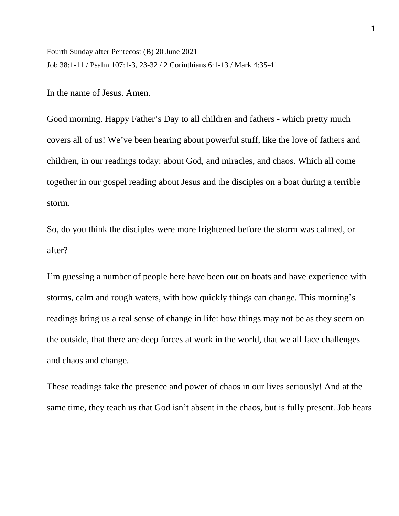Fourth Sunday after Pentecost (B) 20 June 2021 Job 38:1-11 / Psalm 107:1-3, 23-32 / 2 Corinthians 6:1-13 / Mark 4:35-41

In the name of Jesus. Amen.

Good morning. Happy Father's Day to all children and fathers - which pretty much covers all of us! We've been hearing about powerful stuff, like the love of fathers and children, in our readings today: about God, and miracles, and chaos. Which all come together in our gospel reading about Jesus and the disciples on a boat during a terrible storm.

So, do you think the disciples were more frightened before the storm was calmed, or after?

I'm guessing a number of people here have been out on boats and have experience with storms, calm and rough waters, with how quickly things can change. This morning's readings bring us a real sense of change in life: how things may not be as they seem on the outside, that there are deep forces at work in the world, that we all face challenges and chaos and change.

These readings take the presence and power of chaos in our lives seriously! And at the same time, they teach us that God isn't absent in the chaos, but is fully present. Job hears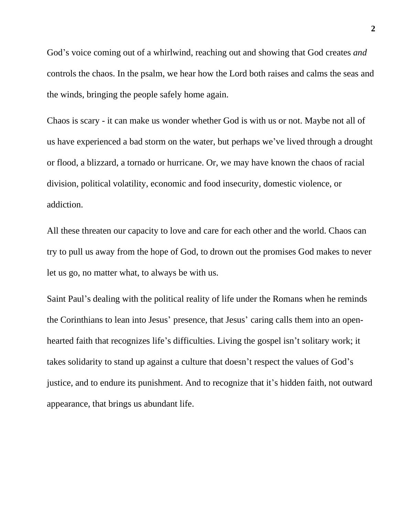God's voice coming out of a whirlwind, reaching out and showing that God creates *and* controls the chaos. In the psalm, we hear how the Lord both raises and calms the seas and the winds, bringing the people safely home again.

Chaos is scary - it can make us wonder whether God is with us or not. Maybe not all of us have experienced a bad storm on the water, but perhaps we've lived through a drought or flood, a blizzard, a tornado or hurricane. Or, we may have known the chaos of racial division, political volatility, economic and food insecurity, domestic violence, or addiction.

All these threaten our capacity to love and care for each other and the world. Chaos can try to pull us away from the hope of God, to drown out the promises God makes to never let us go, no matter what, to always be with us.

Saint Paul's dealing with the political reality of life under the Romans when he reminds the Corinthians to lean into Jesus' presence, that Jesus' caring calls them into an openhearted faith that recognizes life's difficulties. Living the gospel isn't solitary work; it takes solidarity to stand up against a culture that doesn't respect the values of God's justice, and to endure its punishment. And to recognize that it's hidden faith, not outward appearance, that brings us abundant life.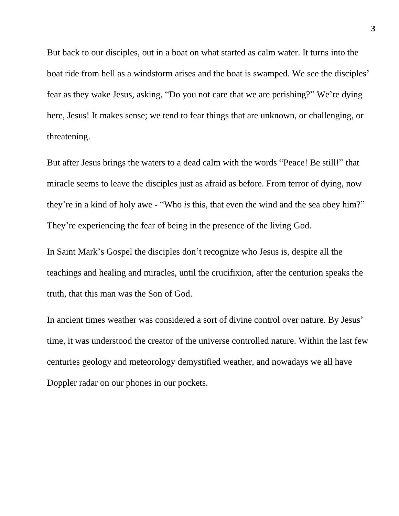But back to our disciples, out in a boat on what started as calm water. It turns into the boat ride from hell as a windstorm arises and the boat is swamped. We see the disciples' fear as they wake Jesus, asking, "Do you not care that we are perishing?" We're dying here, Jesus! It makes sense; we tend to fear things that are unknown, or challenging, or threatening.

But after Jesus brings the waters to a dead calm with the words "Peace! Be still!" that miracle seems to leave the disciples just as afraid as before. From terror of dying, now they're in a kind of holy awe - "Who *is* this, that even the wind and the sea obey him?" They're experiencing the fear of being in the presence of the living God.

In Saint Mark's Gospel the disciples don't recognize who Jesus is, despite all the teachings and healing and miracles, until the crucifixion, after the centurion speaks the truth, that this man was the Son of God.

In ancient times weather was considered a sort of divine control over nature. By Jesus' time, it was understood the creator of the universe controlled nature. Within the last few centuries geology and meteorology demystified weather, and nowadays we all have Doppler radar on our phones in our pockets.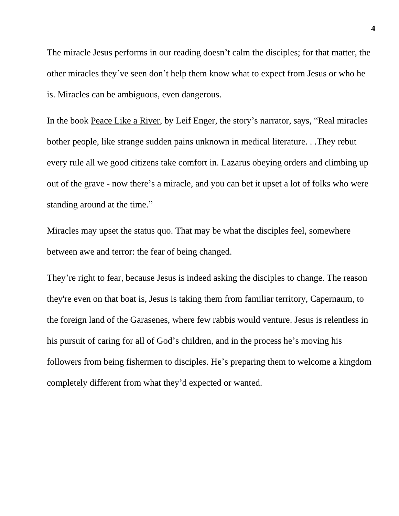The miracle Jesus performs in our reading doesn't calm the disciples; for that matter, the other miracles they've seen don't help them know what to expect from Jesus or who he is. Miracles can be ambiguous, even dangerous.

In the book Peace Like a River, by Leif Enger, the story's narrator, says, "Real miracles bother people, like strange sudden pains unknown in medical literature. . .They rebut every rule all we good citizens take comfort in. Lazarus obeying orders and climbing up out of the grave - now there's a miracle, and you can bet it upset a lot of folks who were standing around at the time."

Miracles may upset the status quo. That may be what the disciples feel, somewhere between awe and terror: the fear of being changed.

They're right to fear, because Jesus is indeed asking the disciples to change. The reason they're even on that boat is, Jesus is taking them from familiar territory, Capernaum, to the foreign land of the Garasenes, where few rabbis would venture. Jesus is relentless in his pursuit of caring for all of God's children, and in the process he's moving his followers from being fishermen to disciples. He's preparing them to welcome a kingdom completely different from what they'd expected or wanted.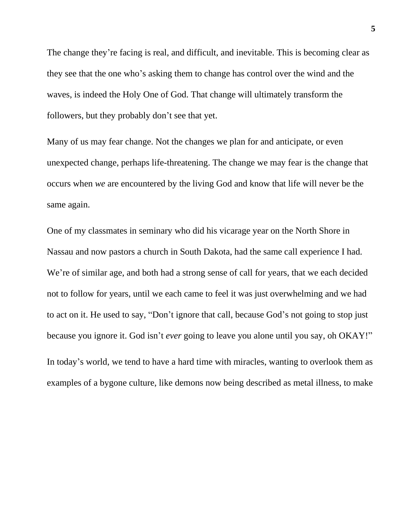The change they're facing is real, and difficult, and inevitable. This is becoming clear as they see that the one who's asking them to change has control over the wind and the waves, is indeed the Holy One of God. That change will ultimately transform the followers, but they probably don't see that yet.

Many of us may fear change. Not the changes we plan for and anticipate, or even unexpected change, perhaps life-threatening. The change we may fear is the change that occurs when *we* are encountered by the living God and know that life will never be the same again.

One of my classmates in seminary who did his vicarage year on the North Shore in Nassau and now pastors a church in South Dakota, had the same call experience I had. We're of similar age, and both had a strong sense of call for years, that we each decided not to follow for years, until we each came to feel it was just overwhelming and we had to act on it. He used to say, "Don't ignore that call, because God's not going to stop just because you ignore it. God isn't *ever* going to leave you alone until you say, oh OKAY!" In today's world, we tend to have a hard time with miracles, wanting to overlook them as examples of a bygone culture, like demons now being described as metal illness, to make